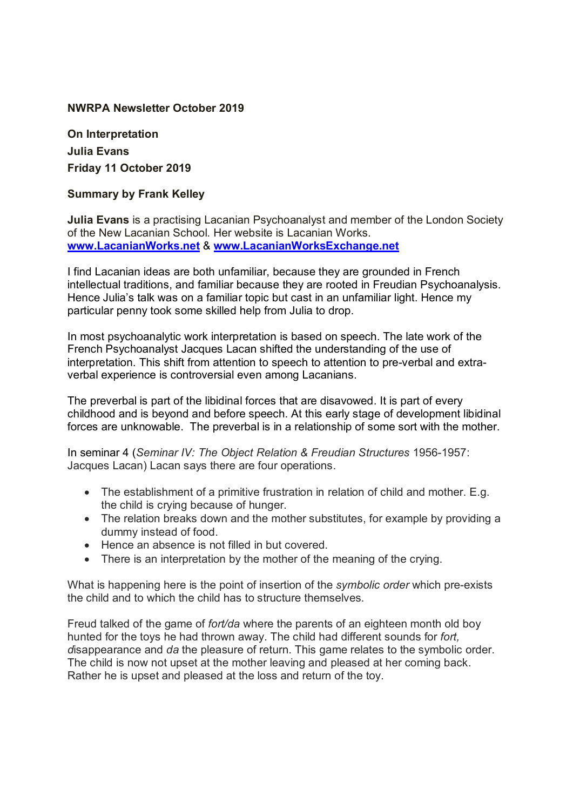## **NWRPA Newsletter October 2019**

**On Interpretation Julia Evans Friday 11 October 2019**

## **Summary by Frank Kelley**

**Julia Evans** is a practising Lacanian Psychoanalyst and member of the London Society of the New Lacanian School. Her website is Lacanian Works. **www.LacanianWorks.net** & **www.LacanianWorksExchange.net**

I find Lacanian ideas are both unfamiliar, because they are grounded in French intellectual traditions, and familiar because they are rooted in Freudian Psychoanalysis. Hence Julia's talk was on a familiar topic but cast in an unfamiliar light. Hence my particular penny took some skilled help from Julia to drop.

In most psychoanalytic work interpretation is based on speech. The late work of the French Psychoanalyst Jacques Lacan shifted the understanding of the use of interpretation. This shift from attention to speech to attention to pre-verbal and extraverbal experience is controversial even among Lacanians.

The preverbal is part of the libidinal forces that are disavowed. It is part of every childhood and is beyond and before speech. At this early stage of development libidinal forces are unknowable. The preverbal is in a relationship of some sort with the mother.

In seminar 4 (*Seminar IV: The Object Relation & Freudian Structures* 1956-1957: Jacques Lacan) Lacan says there are four operations.

- The establishment of a primitive frustration in relation of child and mother. E.g. the child is crying because of hunger.
- The relation breaks down and the mother substitutes, for example by providing a dummy instead of food.
- Hence an absence is not filled in but covered.
- There is an interpretation by the mother of the meaning of the crying.

What is happening here is the point of insertion of the *symbolic order* which pre-exists the child and to which the child has to structure themselves.

Freud talked of the game of *fort/da* where the parents of an eighteen month old boy hunted for the toys he had thrown away. The child had different sounds for *fort, d*isappearance and *da* the pleasure of return. This game relates to the symbolic order. The child is now not upset at the mother leaving and pleased at her coming back. Rather he is upset and pleased at the loss and return of the toy.